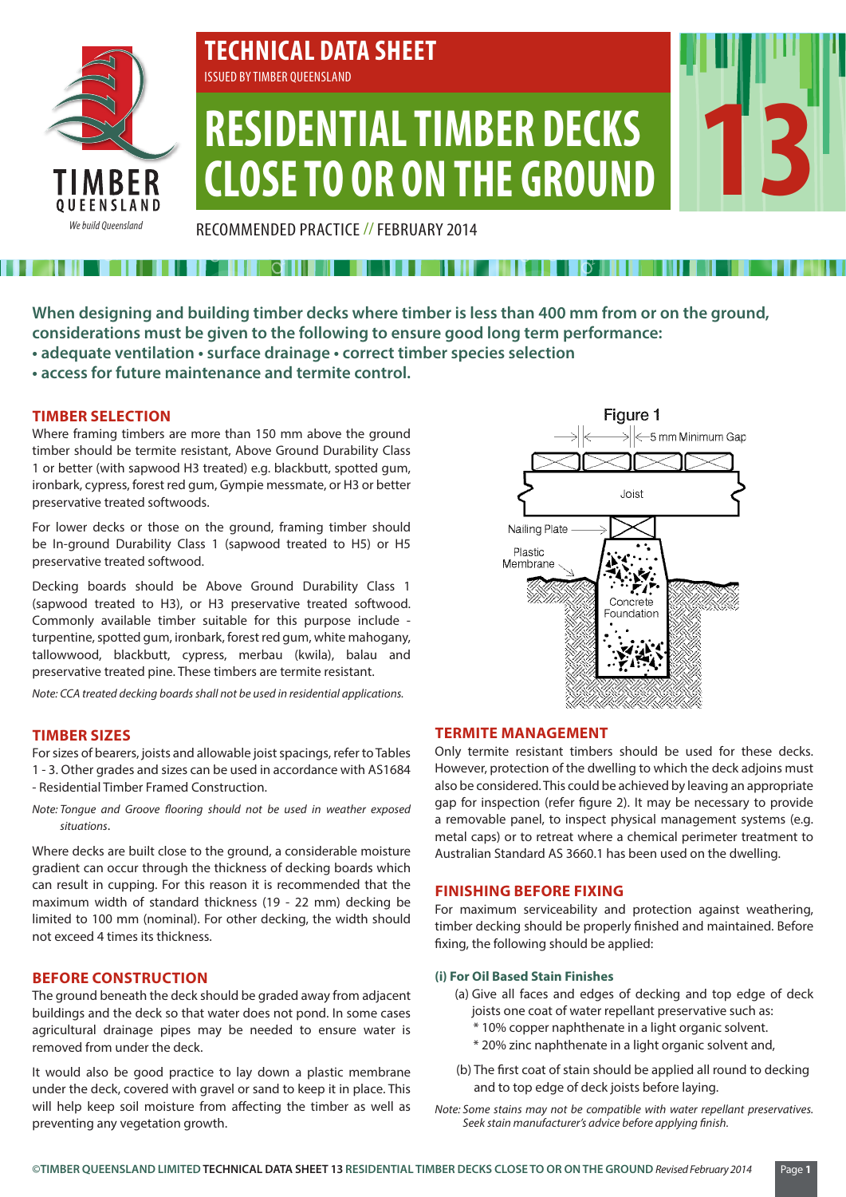

# **TECHNICAL DATA SHEET** ISSUED BY TIMBER QUEENSLAND

# **RESIDENTIAL TIMBER DECKS CLOSE TO OR ON THE GROUND**

RECOMMENDED PRACTICE //FEBRUARY 2014

## **When designing and building timber decks where timber is less than 400 mm from or on the ground, considerations must be given to the following to ensure good long term performance:**

- **adequate ventilation surface drainage correct timber species selection**
- **access for future maintenance and termite control.**

## **TIMBER SELECTION**

Where framing timbers are more than 150 mm above the ground timber should be termite resistant, Above Ground Durability Class 1 or better (with sapwood H3 treated) e.g. blackbutt, spotted gum, ironbark, cypress, forest red gum, Gympie messmate, or H3 or better preservative treated softwoods.

For lower decks or those on the ground, framing timber should be In-ground Durability Class 1 (sapwood treated to H5) or H5 preservative treated softwood.

Decking boards should be Above Ground Durability Class 1 (sapwood treated to H3), or H3 preservative treated softwood. Commonly available timber suitable for this purpose include turpentine, spotted gum, ironbark, forest red gum, white mahogany, tallowwood, blackbutt, cypress, merbau (kwila), balau and preservative treated pine. These timbers are termite resistant.

*Note: CCA treated decking boards shall not be used in residential applications.*

## **TIMBER SIZES**

For sizes of bearers, joists and allowable joist spacings, refer to Tables 1 - 3. Other grades and sizes can be used in accordance with AS1684 - Residential Timber Framed Construction.

*Note: Tongue and Groove flooring should not be used in weather exposed situations*.

Where decks are built close to the ground, a considerable moisture gradient can occur through the thickness of decking boards which can result in cupping. For this reason it is recommended that the maximum width of standard thickness (19 - 22 mm) decking be limited to 100 mm (nominal). For other decking, the width should not exceed 4 times its thickness.

## **BEFORE CONSTRUCTION**

The ground beneath the deck should be graded away from adjacent buildings and the deck so that water does not pond. In some cases agricultural drainage pipes may be needed to ensure water is removed from under the deck.

It would also be good practice to lay down a plastic membrane under the deck, covered with gravel or sand to keep it in place. This will help keep soil moisture from affecting the timber as well as preventing any vegetation growth.



**13**

## **TERMITE MANAGEMENT**

Only termite resistant timbers should be used for these decks. However, protection of the dwelling to which the deck adjoins must also be considered. This could be achieved by leaving an appropriate gap for inspection (refer figure 2). It may be necessary to provide a removable panel, to inspect physical management systems (e.g. metal caps) or to retreat where a chemical perimeter treatment to Australian Standard AS 3660.1 has been used on the dwelling.

## **FINISHING BEFORE FIXING**

For maximum serviceability and protection against weathering, timber decking should be properly finished and maintained. Before fixing, the following should be applied:

## **(i) For Oil Based Stain Finishes**

- (a) Give all faces and edges of decking and top edge of deck joists one coat of water repellant preservative such as:
	- \* 10% copper naphthenate in a light organic solvent.
	- \* 20% zinc naphthenate in a light organic solvent and,
- (b) The first coat of stain should be applied all round to decking and to top edge of deck joists before laying.
- *Note: Some stains may not be compatible with water repellant preservatives. Seek stain manufacturer's advice before applying finish.*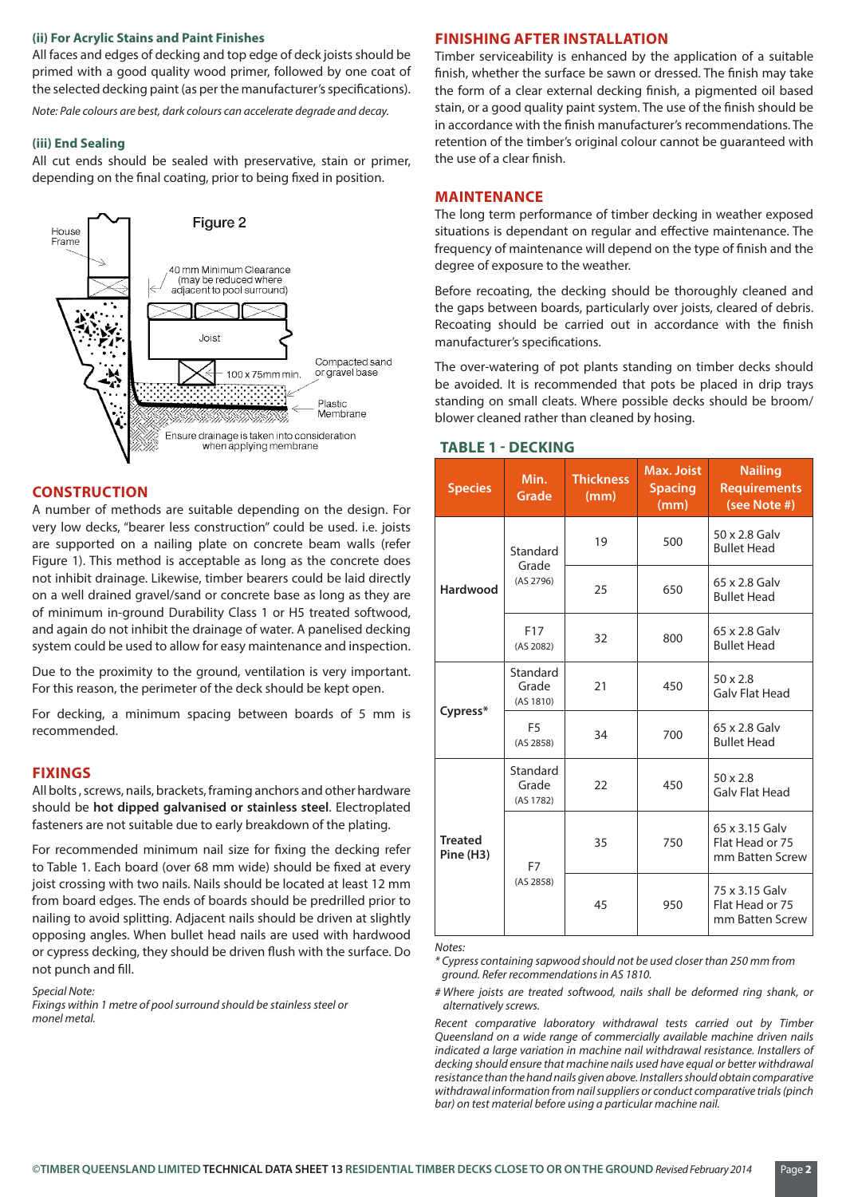#### **(ii) For Acrylic Stains and Paint Finishes**

All faces and edges of decking and top edge of deck joists should be primed with a good quality wood primer, followed by one coat of the selected decking paint (as per the manufacturer's specifications).

*Note: Pale colours are best, dark colours can accelerate degrade and decay.*

#### **(iii) End Sealing**

All cut ends should be sealed with preservative, stain or primer, depending on the final coating, prior to being fixed in position.



## **CONSTRUCTION**

A number of methods are suitable depending on the design. For very low decks, "bearer less construction" could be used. i.e. joists are supported on a nailing plate on concrete beam walls (refer Figure 1). This method is acceptable as long as the concrete does not inhibit drainage. Likewise, timber bearers could be laid directly on a well drained gravel/sand or concrete base as long as they are of minimum in-ground Durability Class 1 or H5 treated softwood, and again do not inhibit the drainage of water. A panelised decking system could be used to allow for easy maintenance and inspection.

Due to the proximity to the ground, ventilation is very important. For this reason, the perimeter of the deck should be kept open.

For decking, a minimum spacing between boards of 5 mm is recommended.

#### **FIXINGS**

All bolts , screws, nails, brackets, framing anchors and other hardware should be **hot dipped galvanised or stainless steel**. Electroplated fasteners are not suitable due to early breakdown of the plating.

For recommended minimum nail size for fixing the decking refer to Table 1. Each board (over 68 mm wide) should be fixed at every joist crossing with two nails. Nails should be located at least 12 mm from board edges. The ends of boards should be predrilled prior to nailing to avoid splitting. Adjacent nails should be driven at slightly opposing angles. When bullet head nails are used with hardwood or cypress decking, they should be driven flush with the surface. Do not punch and fill.

#### *Special Note:*

*Fixings within 1 metre of pool surround should be stainless steel or monel metal.*

#### **FINISHING AFTER INSTALLATION**

Timber serviceability is enhanced by the application of a suitable finish, whether the surface be sawn or dressed. The finish may take the form of a clear external decking finish, a pigmented oil based stain, or a good quality paint system. The use of the finish should be in accordance with the finish manufacturer's recommendations. The retention of the timber's original colour cannot be guaranteed with the use of a clear finish.

#### **MAINTENANCE**

The long term performance of timber decking in weather exposed situations is dependant on regular and effective maintenance. The frequency of maintenance will depend on the type of finish and the degree of exposure to the weather.

Before recoating, the decking should be thoroughly cleaned and the gaps between boards, particularly over joists, cleared of debris. Recoating should be carried out in accordance with the finish manufacturer's specifications.

The over-watering of pot plants standing on timber decks should be avoided. It is recommended that pots be placed in drip trays standing on small cleats. Where possible decks should be broom/ blower cleaned rather than cleaned by hosing.

## **TABLE 1 - DECKING**

| <b>Species</b>              | Min.<br><b>Grade</b>           | <b>Thickness</b><br>(mm) | <b>Max. Joist</b><br><b>Spacing</b><br>(mm) | <b>Nailing</b><br><b>Requirements</b><br>(see Note #) |  |
|-----------------------------|--------------------------------|--------------------------|---------------------------------------------|-------------------------------------------------------|--|
| Hardwood                    | Standard<br>Grade<br>(AS 2796) | 19                       | 500                                         | 50 x 2.8 Galv<br><b>Bullet Head</b>                   |  |
|                             |                                | 25                       | 650                                         | 65 x 2.8 Galv<br><b>Bullet Head</b>                   |  |
|                             | F <sub>17</sub><br>(AS 2082)   | 32                       | 800                                         | 65 x 2.8 Galv<br><b>Bullet Head</b>                   |  |
| Cypress*                    | Standard<br>Grade<br>(AS 1810) | 21                       | 450                                         | $50 \times 2.8$<br><b>Galv Flat Head</b>              |  |
|                             | F <sub>5</sub><br>(AS 2858)    | 34                       | 700                                         | 65 x 2.8 Galv<br><b>Bullet Head</b>                   |  |
| <b>Treated</b><br>Pine (H3) | Standard<br>Grade<br>(AS 1782) | 22                       | 450                                         | $50 \times 2.8$<br><b>Galv Flat Head</b>              |  |
|                             | F7<br>(AS 2858)                | 35                       | 750                                         | 65 x 3.15 Galv<br>Flat Head or 75<br>mm Batten Screw  |  |
|                             |                                | 45                       | 950                                         | 75 x 3.15 Galv<br>Flat Head or 75<br>mm Batten Screw  |  |

*Notes:* 

*\* Cypress containing sapwood should not be used closer than 250 mm from ground. Refer recommendations in AS 1810.*

*# Where joists are treated softwood, nails shall be deformed ring shank, or alternatively screws.*

*Recent comparative laboratory withdrawal tests carried out by Timber Queensland on a wide range of commercially available machine driven nails indicated a large variation in machine nail withdrawal resistance. Installers of decking should ensure that machine nails used have equal or better withdrawal resistance than the hand nails given above. Installers should obtain comparative withdrawal information from nail suppliers or conduct comparative trials (pinch bar) on test material before using a particular machine nail.*